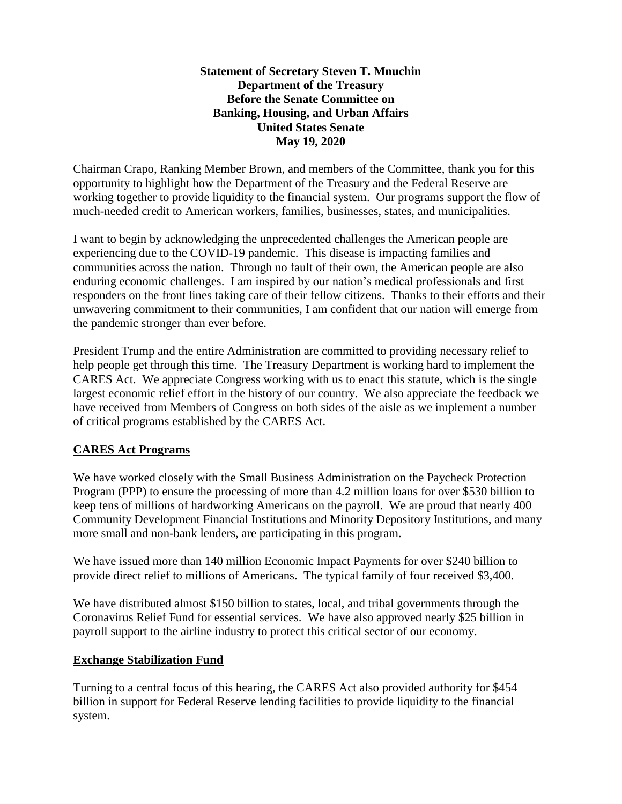### **Statement of Secretary Steven T. Mnuchin Department of the Treasury Before the Senate Committee on Banking, Housing, and Urban Affairs United States Senate May 19, 2020**

Chairman Crapo, Ranking Member Brown, and members of the Committee, thank you for this opportunity to highlight how the Department of the Treasury and the Federal Reserve are working together to provide liquidity to the financial system. Our programs support the flow of much-needed credit to American workers, families, businesses, states, and municipalities.

I want to begin by acknowledging the unprecedented challenges the American people are experiencing due to the COVID-19 pandemic. This disease is impacting families and communities across the nation. Through no fault of their own, the American people are also enduring economic challenges. I am inspired by our nation's medical professionals and first responders on the front lines taking care of their fellow citizens. Thanks to their efforts and their unwavering commitment to their communities, I am confident that our nation will emerge from the pandemic stronger than ever before.

President Trump and the entire Administration are committed to providing necessary relief to help people get through this time. The Treasury Department is working hard to implement the CARES Act. We appreciate Congress working with us to enact this statute, which is the single largest economic relief effort in the history of our country. We also appreciate the feedback we have received from Members of Congress on both sides of the aisle as we implement a number of critical programs established by the CARES Act.

# **CARES Act Programs**

We have worked closely with the Small Business Administration on the Paycheck Protection Program (PPP) to ensure the processing of more than 4.2 million loans for over \$530 billion to keep tens of millions of hardworking Americans on the payroll. We are proud that nearly 400 Community Development Financial Institutions and Minority Depository Institutions, and many more small and non-bank lenders, are participating in this program.

We have issued more than 140 million Economic Impact Payments for over \$240 billion to provide direct relief to millions of Americans. The typical family of four received \$3,400.

We have distributed almost \$150 billion to states, local, and tribal governments through the Coronavirus Relief Fund for essential services. We have also approved nearly \$25 billion in payroll support to the airline industry to protect this critical sector of our economy.

# **Exchange Stabilization Fund**

Turning to a central focus of this hearing, the CARES Act also provided authority for \$454 billion in support for Federal Reserve lending facilities to provide liquidity to the financial system.